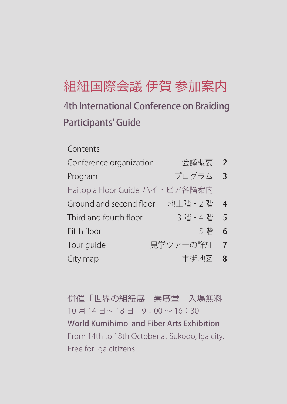# 4th International Conference on Braiding 組紐国際会議 伊賀 参加案内

# Participants' Guide

## **Contents**

| Conference organization        | 会議概要 2    |                          |
|--------------------------------|-----------|--------------------------|
| Program                        | プログラム     | $\overline{\phantom{a}}$ |
| Haitopia Floor Guide ハイトピア各階案内 |           |                          |
| Ground and second floor        | 地上階·2階    | $\overline{4}$           |
| Third and fourth floor         | 3 階 · 4 階 | 5                        |
| Fifth floor                    | 5階        | 6                        |
| Tour quide                     | 見学ツァーの詳細  | $\overline{7}$           |
| City map                       | 市街地図      | 8                        |

併催「世界の組紐展」崇廣堂 入場無料 10 月 14 日〜 18 日 9:00 〜 16:30 World Kumihimo and Fiber Arts Exhibition From 14th to 18th October at Sukodo, Iga city. Free for Iga citizens.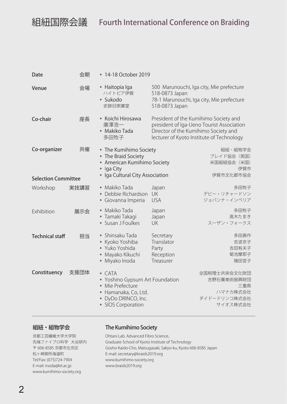| Date                       | 会期   | ■ 14-18 October 2019                                                                                                                                                                                                                                                                                                                                                                                                                                                                                                                                                                                      |                                                            |                                                                                                                                 |
|----------------------------|------|-----------------------------------------------------------------------------------------------------------------------------------------------------------------------------------------------------------------------------------------------------------------------------------------------------------------------------------------------------------------------------------------------------------------------------------------------------------------------------------------------------------------------------------------------------------------------------------------------------------|------------------------------------------------------------|---------------------------------------------------------------------------------------------------------------------------------|
| Venue                      | 会場   | - Haitopia Iga<br>ハイトピア伊賀<br>· Sukodo<br>史跡旧崇廣堂                                                                                                                                                                                                                                                                                                                                                                                                                                                                                                                                                           | 518-0873 Japan<br>518-0873 Japan                           | 500 Marunouchi, Iga city, Mie prefecture<br>78-1 Marunouchi, Iga city, Mie prefecture                                           |
| Co-chair                   | 座長   | • Koichi Hirosawa<br>廣澤浩一<br>■ Makiko Tada<br>多田牧子                                                                                                                                                                                                                                                                                                                                                                                                                                                                                                                                                        | Director of the Kumihimo Society and                       | President of the Kumihimo Society and<br>president of Iga-Ueno Tourist Association<br>lecturer of Kyoto Institute of Technology |
| Co-organizer               | 共催   | - The Kumihimo Society<br>• The Braid Society<br>American Kumihimo Society<br>۰.<br>Iga City<br>ш<br>· Iga Cultural City Association                                                                                                                                                                                                                                                                                                                                                                                                                                                                      |                                                            | 組紐・組物学会<br>ブレイド協会 (英国)<br>米国組紐協会(米国)<br>伊賀市<br>伊賀市文化都市協会                                                                        |
| <b>Selection Committee</b> |      |                                                                                                                                                                                                                                                                                                                                                                                                                                                                                                                                                                                                           |                                                            |                                                                                                                                 |
| Workshop                   | 実技講習 | • Makiko Tada<br>Debbie Richardson<br>· Giovanna Imperia                                                                                                                                                                                                                                                                                                                                                                                                                                                                                                                                                  | Japan<br><b>UK</b><br><b>USA</b>                           | 多田牧子<br>デビー・リチャードソン<br>ジョバンナ・インペリア                                                                                              |
| Exhibition                 | 展示会  | · Makiko Tada<br>• Tamaki Takagi<br>• Susan J Foulkes                                                                                                                                                                                                                                                                                                                                                                                                                                                                                                                                                     | Japan<br>Japan<br>UK                                       | 多田牧子<br>高木たまき<br>スーザン・フォークス                                                                                                     |
| <b>Technical staff</b>     | 担当   | • Shinsaku Tada<br>Kyoko Yoshiba<br>• Yuko Yoshida<br>Mayako Kikuchi<br>· Miyako Inoda                                                                                                                                                                                                                                                                                                                                                                                                                                                                                                                    | Secretary<br>Translator<br>Party<br>Reception<br>Treasurer | 多田眞作<br>吉波京子<br>吉田有夫子<br>菊池摩耶子<br>猪田宮子                                                                                          |
| Constituency               | 支援団体 | $\overline{\phantom{a}}$ $\overline{\phantom{a}}$ $\overline{\phantom{a}}$ $\overline{\phantom{a}}$ $\overline{\phantom{a}}$ $\overline{\phantom{a}}$ $\overline{\phantom{a}}$ $\overline{\phantom{a}}$ $\overline{\phantom{a}}$ $\overline{\phantom{a}}$ $\overline{\phantom{a}}$ $\overline{\phantom{a}}$ $\overline{\phantom{a}}$ $\overline{\phantom{a}}$ $\overline{\phantom{a}}$ $\overline{\phantom{a}}$ $\overline{\phantom{a}}$ $\overline{\phantom{a}}$ $\overline{\$<br>• Yoshino Gypsum Art Foundation<br>• Mie Prefecture<br>Hamanaka, Co, Ltd.<br>· DyDo DRINCO, Inc.<br>· SIOS Corporation |                                                            | 全国税理士共栄会文化財団<br>吉野石膏美術振興財団<br>三重県<br>ハマナカ株式会社<br>ダイドードリンコ株式会社<br>サイオス株式会社                                                       |

#### 組紐・組物学会

#### 京都工芸繊維大学大学院 先端ファイブロ科学 大谷研内 〒 606-8585 京都市左京区 松ヶ崎御所海道町 Tel/Fax: (075)724-7904 E-mail: inoda@kit.ac.jp www.kumihimo-society.org

### The Kumihimo Society

Ohtani Lab. Advanced Fibro Science, Graduate School of Kyoto Institute of Technology Gosho-Kaido-Cho, Matsugasaki, Sakyo-ku, Kyoto 606-8585 Japan E-mail: secretary@braids2019.org www.kumihimo-society.org www.braids2019.org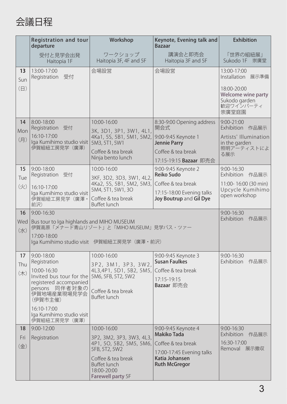

|                   | <b>Registration and tour</b><br>departure                                                                                                                     | Workshop                                                                      | Keynote, Evening talk and<br>Bazaar                               | <b>Exhibition</b>                                                        |
|-------------------|---------------------------------------------------------------------------------------------------------------------------------------------------------------|-------------------------------------------------------------------------------|-------------------------------------------------------------------|--------------------------------------------------------------------------|
|                   | 受付と見学会出発<br>Haitopia 1F                                                                                                                                       | ワークショップ<br>Haitopia 3F, 4F and 5F                                             | 講演会と即売会<br>Haitopia 3F and 5F                                     | 「世界の組紐展」<br>Sukodo 1F 崇廣堂                                                |
| 13<br>Sun         | 13:00-17:00<br>受付<br>Registration                                                                                                                             | 会場設営                                                                          | 会場設営                                                              | 13:00-17:00<br>展示準備<br>Installation                                      |
| $(\Box)$          |                                                                                                                                                               |                                                                               |                                                                   | 18:00-20:00<br>Welcome wine party<br>Sukodo garden<br>歓迎ワインパーティ<br>崇廣堂庭園 |
| 14<br>Mon         | 8:00-18:00<br>Registration 受付                                                                                                                                 | 10:00-16:00<br>3K, 3D1, 3P1, 3W1, 4L1,                                        | 8:30-9:00 Opening address<br>開会式                                  | 9:00-21:00<br>Exhibition 作品展示                                            |
| (月)               | 16:10-17:00<br>Iga Kumihimo studio visit<br>伊賀組紐工房見学 (廣澤)                                                                                                     | 4Ka1, 5S, 5B1, 5M1, 5M2,<br>5M3, 5T1, 5W1                                     | 9:00-9:45 Keynote 1<br><b>Jennie Parry</b>                        | Artists' Illumination<br>in the garden                                   |
|                   |                                                                                                                                                               | Coffee & tea break<br>Ninja bento lunch                                       | Coffee & tea break<br>17:15-19:15 Bazaar 即売会                      | 照明アーティストによ<br>る展示                                                        |
| 15<br>Tue         | $9:00 - 18:00$<br>Registration<br>受付                                                                                                                          | 10:00-16:00<br>3KF, 3D2, 3D3, 3W1, 4L2,                                       | 9:00-9:45 Keynote 2<br>Reiko Sudo                                 | 9:00-16:30<br>作品展示<br>Exhibition                                         |
| (火)               | 16:10-17:00<br>Iga Kumihimo studio visit                                                                                                                      | 4Ka2, 5S, 5B1, 5M2, 5M3,<br>5M4, 5T1, 5W1, 3O                                 | Coffee & tea break<br>17:15-18:00 Evening talks                   | 11:00-16:00 (30 min)<br>Upcycle Kumihimo                                 |
|                   | 伊賀組紐工房見学(廣澤·<br>前沢)                                                                                                                                           | Coffee & tea break<br><b>Buffet lunch</b>                                     | Joy Boutrup and Gil Dye                                           | open workshop                                                            |
| 16<br>Wed<br>(7K) | 9:00-16:30<br>Bus tour to Iga highlands and MIHO MUSEUM<br>伊賀高原「メナード青山リゾート」と「MIHO MUSEUM」見学バス・ツァー<br>17:00-18:00<br>lga Kumihimo studio visit 伊賀組紐工房見学(廣澤·前沢) | 9:00-16:30<br>Exhibition<br>作品展示                                              |                                                                   |                                                                          |
| 17<br>Thu         | $9:00 - 18:00$<br>Registration<br>10:00-16:30                                                                                                                 | 10:00-16:00<br>3P2, 3M1, 3P3, 3W2,<br>4L3,4P1, 5D1, 5B2, 5M5,                 | 9:00-9:45 Keynote 3<br><b>Susan Faulkes</b><br>Coffee & tea break | $9:00 - 16:30$<br>作品展示<br>Exhibition                                     |
| (木)               | Invited bus tour for the 5M6, 5FB, 5T2, 5W2<br>registered accompanied                                                                                         |                                                                               | 17:15-19:15<br>Bazaar 即売会                                         |                                                                          |
|                   | persons 同伴者対象の<br>伊賀地場産業現場見学会<br>(伊賀市主催)                                                                                                                      | Coffee & tea break<br><b>Buffet lunch</b>                                     |                                                                   |                                                                          |
|                   | 16:10-17:00<br>Iga Kumihimo studio visit<br>伊賀組紐工房見学 (廣澤)                                                                                                     |                                                                               |                                                                   |                                                                          |
| 18                | $9:00 - 12:00$                                                                                                                                                | 10:00-16:00                                                                   | 9:00-9:45 Keynote 4                                               | 9:00-16:30                                                               |
| Fri               | Registration                                                                                                                                                  | 3P2, 3M2, 3P3, 3W3, 4L3,<br>4P1, 5O, 5B2, 5M5, 5M6,                           | <b>Makiko Tada</b><br>Coffee & tea break                          | Exhibition<br>作品展示<br>16:30-17:00                                        |
| (金)               |                                                                                                                                                               | 5FB, 5T2, 5W2                                                                 | 17:00-17:45 Evening talks                                         | Removal 展示撤収                                                             |
|                   |                                                                                                                                                               | Coffee & tea break<br><b>Buffet lunch</b><br>18:00-20:00<br>Farewell party 5F | Katia Johansen<br><b>Ruth McGregor</b>                            |                                                                          |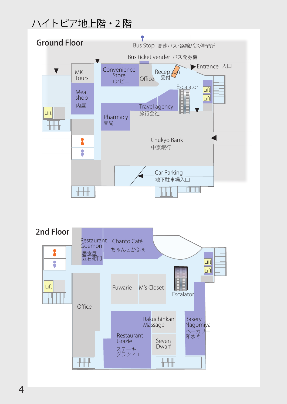# ハイトピア地上階・2 階

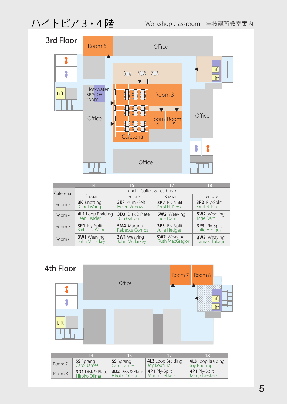# ハイトピア 3・4 階

Workshop classroom 実技講習教室案内



|           | 14                                        | 15                                            | 17                                     | 18                                     |
|-----------|-------------------------------------------|-----------------------------------------------|----------------------------------------|----------------------------------------|
| Cafeteria | Lunch, Coffee & Tea break                 |                                               |                                        |                                        |
|           | Bazaar                                    | Lecture                                       | Bazaar                                 | Lecture                                |
| Room 3    | <b>3K</b> Knotting<br>Carol Wang          | <b>3KF</b> Kumi-Felt<br><b>Helen Vonow</b>    | <b>3P2</b> Ply-Split<br>Errol N. Pires | <b>3P2</b> Ply-Split<br>Errol N. Pires |
| Room 4    | 4L1 Loop Braiding<br>Jean Leader          | <b>3D3</b> Disk & Plate<br><b>Bob Galivan</b> | <b>5W2</b> Weaving<br>Inge Dam         | <b>5W2</b> Weaving<br>Inge Dam         |
| Room 5    | <b>3P1</b> Ply-Split<br>Barbara J. Walker | <b>5M4</b> Marudai<br>Rebecca Combs           | <b>3P3</b> Ply-Split<br>Julie Hedges   | <b>3P3</b> Ply-Split<br>Julie Hedges   |
| Room 6    | <b>3W1</b> Weaving<br>John Mullarkey      | <b>3W1</b> Weaving<br>John Mullarkey          | <b>3W2</b> Weaving<br>Ruth MacGregor   | <b>3W3</b> Weaving<br>Tamaki Takagi    |



|        | $\overline{14}$                         | - 57                                    | -17                                            | -18                                            |
|--------|-----------------------------------------|-----------------------------------------|------------------------------------------------|------------------------------------------------|
| Room 7 | <b>5S</b> Sprang<br>Carol James         | <b>5S</b> Sprang<br>Carol James         | <b>4L3</b> Loop Braiding<br><b>Joy Boutrup</b> | <b>4L3</b> Loop Braiding<br><b>Joy Boutrup</b> |
| Room 8 | <b>3D1</b> Disk & Plate<br>Hiroko Oiima | <b>3D2</b> Disk & Plate<br>Hiroko Ojima | <b>4P1</b> Ply-Split<br>Marijk Dekkers         | <b>4P1</b> Ply-Split<br>Marijk Dekkers         |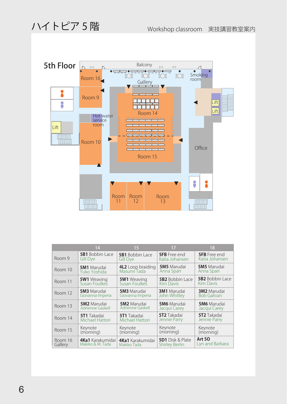

|         | 14                                 | 15                                      | 17                               | 18                               |
|---------|------------------------------------|-----------------------------------------|----------------------------------|----------------------------------|
| Room 9  | <b>5B1</b> Bobbin Lace             | <b>5B1</b> Bobbin Lace                  | <b>5FB</b> Free end              | <b>5FB</b> Free end              |
|         | Gill Dye                           | Gill Dye                                | Katia Johansen                   | Katia Johansen                   |
| Room 10 | <b>5M1</b> Marudai<br>Yuko Yoshida | <b>4L2</b> Loop braiding<br>Masumi Tada | <b>5M5</b> Marudai<br>Anna Sparr | <b>5M5</b> Marudai<br>Anna Sparr |
| Room 11 | <b>5W1</b> Weaving                 | <b>5W1</b> Weaving                      | <b>5B2</b> Bobbin Lace           | <b>5B2</b> Bobbin Lace           |
|         | Susan Foulkes                      | Susan Foulkes                           | <b>Kim Davis</b>                 | <b>Kim Davis</b>                 |
| Room 12 | <b>5M3</b> Marudai                 | <b>5M3</b> Marudai                      | <b>3M1</b> Marudai               | <b>3M2</b> Marudai               |
|         | Giovanna Imperia                   | Giovanna Imperia                        | John Whitley                     | <b>Bob Galivan</b>               |
| Room 13 | <b>5M2</b> Marudai                 | <b>5M2</b> Marudai                      | <b>5M6</b> Marudai               | <b>5M6</b> Marudai               |
|         | Adrienne Gaskell                   | Adrienne Gaskell                        | Jacqui Carey                     | Jacqui Carey                     |
| Room 14 | <b>5T1</b> Takadai                 | <b>5T1</b> Takadai                      | <b>5T2</b> Takadai               | <b>5T2</b> Takadai               |
|         | Michael Hattori                    | Michael Hattori                         | Jennie Parry                     | Jennie Parry                     |
| Room 15 | Keynote                            | Keynote                                 | Keynote                          | Keynote                          |
|         | (morning)                          | (morning)                               | (morning)                        | (morning)                        |
| Room 16 | <b>4Ka1</b> Karakumidai            | <b>4Ka1</b> Karakumidai                 | <b>5D1</b> Disk & Plate          | <b>Art 50</b>                    |
| Gallery | Makiko & M. Tada                   | Makiko Tada                             | <b>Shirley Berlin</b>            | Lyn and Barbara                  |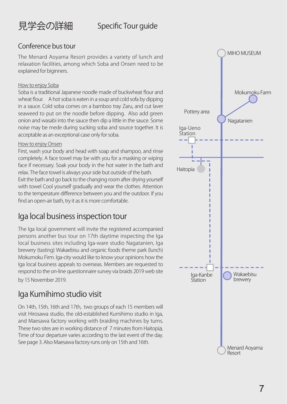

## Specific Tour guide

## Conference bus tour

The Menard Aoyama Resort provides a variety of lunch and relaxation facilities, among which Soba and Onsen need to be explained for biginners.

#### How to enjoy Soba

Soba is a traditional Japanese noodle made of buckwheat flour and wheat flour. A hot soba is eaten in a soup and cold sofa by dipping in a sauce. Cold soba comes on a bamboo tray Zaru, and cut laver seaweed to put on the noodle before dipping. Also add green onion and wasabi into the sauce then dip a little in the sauce. Some noise may be mede during sucking soba and source together. It is acceptable as an exceptional case only for soba.

#### How to enjoy Onsen

First, wash your body and head with soap and shampoo, and rinse completely. A face towel may be with you for a masking or wiping face if necessary. Soak your body in the hot water in the bath and relax. The face towel is always your side but outside of the bath. Exit the bath and go back to the changing room after drying yourself with towel Cool yourself gradually and wear the clothes. Attention to the temperature difference between you and the outdoor. If you find an open-air bath, try it as it is more comfortable.

## Iga local business inspection tour

The Iga local government will invite the registered accompanied persons another bus tour on 17th daytime inspecting the Iga local business sites including Iga-ware studio Nagatanien, Iga brewery (tasting) Wakaebisu and organic foods theme park (lunch) Mokumoku Firm. Iga-city would like to know your opinions how the Iga local business appeals to overseas. Members are requested to respond to the on-line questionnaire survey via braids 2019 web site by 15 November 2019.

## Iga Kumihimo studio visit

On 14th, 15th, 16th and 17th, two groups of each 15 members will visit Hirosawa studio, the old-established Kumihimo studio in Iga, and Maesawa factory working with braiding machines by turns. These two sites are in working distance of 7 minutes from Haitopia. Time of tour departure varies according to the last event of the day. See page 3. Also Maesawa factory runs only on 15th and 16th.